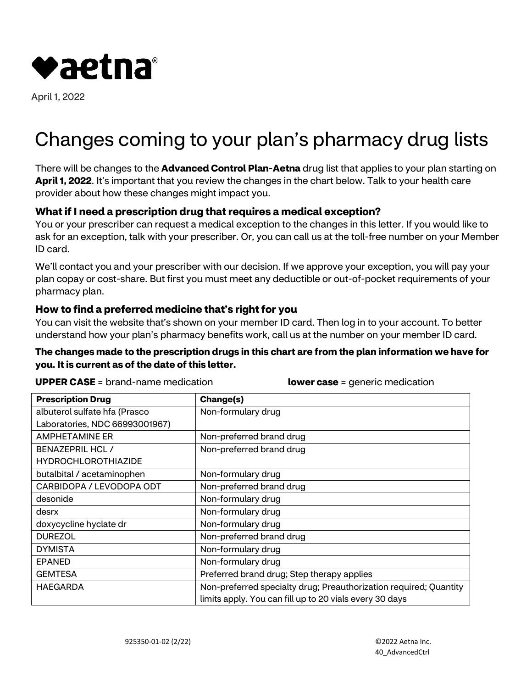

April 1, 2022

# Changes coming to your plan's pharmacy drug lists

There will be changes to the **Advanced Control Plan-Aetna** drug list that applies to your plan starting on **April 1, 2022**. It's important that you review the changes in the chart below. Talk to your health care provider about how these changes might impact you.

## **What if I need a prescription drug that requires a medical exception?**

You or your prescriber can request a medical exception to the changes in this letter. If you would like to ask for an exception, talk with your prescriber. Or, you can call us at the toll-free number on your Member ID card.

We'll contact you and your prescriber with our decision. If we approve your exception, you will pay your plan copay or cost-share. But first you must meet any deductible or out-of-pocket requirements of your pharmacy plan.

### **How to find a preferred medicine that's right for you**

You can visit the website that's shown on your member ID card. Then log in to your account. To better understand how your plan's pharmacy benefits work, call us at the number on your member ID card.

#### **The changes made to the prescription drugs in this chart are from the plan information we have for you. It is current as of the date of this letter.**

**UPPER CASE** = brand-name medication **lower case** = generic medication

| <b>Prescription Drug</b>       | Change(s)                                                         |
|--------------------------------|-------------------------------------------------------------------|
| albuterol sulfate hfa (Prasco  | Non-formulary drug                                                |
| Laboratories, NDC 66993001967) |                                                                   |
| <b>AMPHETAMINE ER</b>          | Non-preferred brand drug                                          |
| <b>BENAZEPRIL HCL /</b>        | Non-preferred brand drug                                          |
| <b>HYDROCHLOROTHIAZIDE</b>     |                                                                   |
| butalbital / acetaminophen     | Non-formulary drug                                                |
| CARBIDOPA / LEVODOPA ODT       | Non-preferred brand drug                                          |
| desonide                       | Non-formulary drug                                                |
| desrx                          | Non-formulary drug                                                |
| doxycycline hyclate dr         | Non-formulary drug                                                |
| <b>DUREZOL</b>                 | Non-preferred brand drug                                          |
| <b>DYMISTA</b>                 | Non-formulary drug                                                |
| <b>EPANED</b>                  | Non-formulary drug                                                |
| <b>GEMTESA</b>                 | Preferred brand drug; Step therapy applies                        |
| <b>HAEGARDA</b>                | Non-preferred specialty drug; Preauthorization required; Quantity |
|                                | limits apply. You can fill up to 20 vials every 30 days           |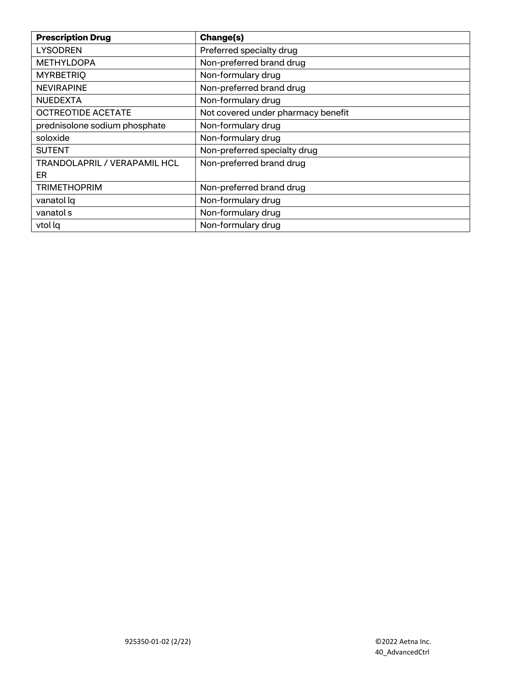| <b>Prescription Drug</b>            | Change(s)                          |
|-------------------------------------|------------------------------------|
| <b>LYSODREN</b>                     | Preferred specialty drug           |
| <b>METHYLDOPA</b>                   | Non-preferred brand drug           |
| <b>MYRBETRIQ</b>                    | Non-formulary drug                 |
| <b>NEVIRAPINE</b>                   | Non-preferred brand drug           |
| <b>NUEDEXTA</b>                     | Non-formulary drug                 |
| <b>OCTREOTIDE ACETATE</b>           | Not covered under pharmacy benefit |
| prednisolone sodium phosphate       | Non-formulary drug                 |
| soloxide                            | Non-formulary drug                 |
| <b>SUTENT</b>                       | Non-preferred specialty drug       |
| <b>TRANDOLAPRIL / VERAPAMIL HCL</b> | Non-preferred brand drug           |
| ER.                                 |                                    |
| <b>TRIMETHOPRIM</b>                 | Non-preferred brand drug           |
| vanatol lq                          | Non-formulary drug                 |
| vanatol s                           | Non-formulary drug                 |
| vtol lg                             | Non-formulary drug                 |